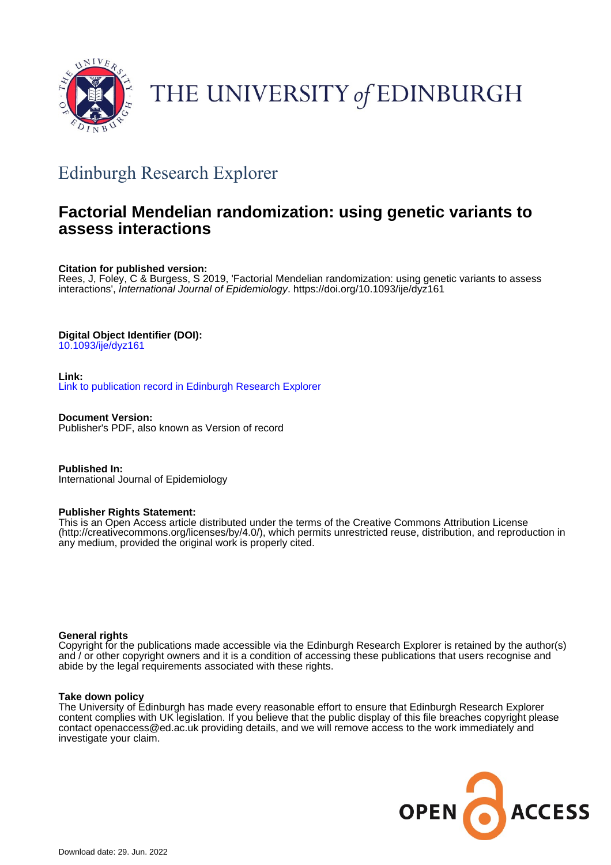

# THE UNIVERSITY of EDINBURGH

### Edinburgh Research Explorer

### **Factorial Mendelian randomization: using genetic variants to assess interactions**

**Citation for published version:**

Rees, J, Foley, C & Burgess, S 2019, 'Factorial Mendelian randomization: using genetic variants to assess interactions', International Journal of Epidemiology. <https://doi.org/10.1093/ije/dyz161>

#### **Digital Object Identifier (DOI):**

[10.1093/ije/dyz161](https://doi.org/10.1093/ije/dyz161)

**Link:**

[Link to publication record in Edinburgh Research Explorer](https://www.research.ed.ac.uk/en/publications/50143a88-c882-4b9a-8814-ceaf6add21c6)

**Document Version:** Publisher's PDF, also known as Version of record

**Published In:** International Journal of Epidemiology

#### **Publisher Rights Statement:**

This is an Open Access article distributed under the terms of the Creative Commons Attribution License (http://creativecommons.org/licenses/by/4.0/), which permits unrestricted reuse, distribution, and reproduction in any medium, provided the original work is properly cited.

#### **General rights**

Copyright for the publications made accessible via the Edinburgh Research Explorer is retained by the author(s) and / or other copyright owners and it is a condition of accessing these publications that users recognise and abide by the legal requirements associated with these rights.

#### **Take down policy**

The University of Edinburgh has made every reasonable effort to ensure that Edinburgh Research Explorer content complies with UK legislation. If you believe that the public display of this file breaches copyright please contact openaccess@ed.ac.uk providing details, and we will remove access to the work immediately and investigate your claim.

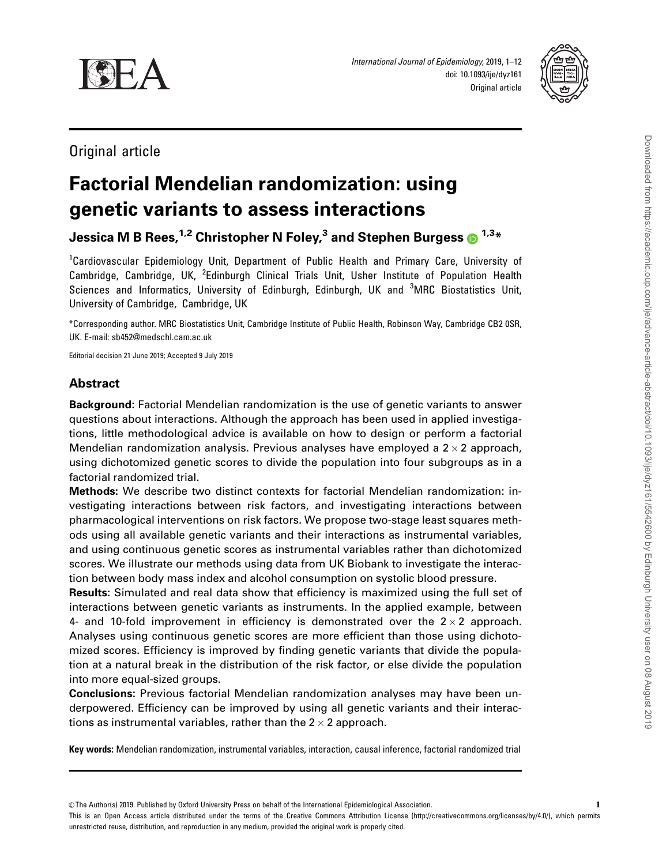

International Journal of Epidemiology, 2019, 1–12 doi: 10.1093/ije/dyz161 Original article



Original article

## Factorial Mendelian randomization: using genetic variants to assess interactions

Jessica M B Rees,<sup>1,2</sup> Christopher N Foley,<sup>3</sup> and Stephen Burgess  $\oplus$ <sup>1,3\*</sup>

<sup>1</sup>Cardiovascular Epidemiology Unit, Department of Public Health and Primary Care, University of Cambridge, Cambridge, UK, <sup>2</sup>Edinburgh Clinical Trials Unit, Usher Institute of Population Health Sciences and Informatics, University of Edinburgh, Edinburgh, UK and <sup>3</sup>MRC Biostatistics Unit, University of Cambridge, Cambridge, UK

\*Corresponding author. MRC Biostatistics Unit, Cambridge Institute of Public Health, Robinson Way, Cambridge CB2 0SR, UK. E-mail: sb452@medschl.cam.ac.uk

Editorial decision 21 June 2019; Accepted 9 July 2019

#### **Abstract**

Background: Factorial Mendelian randomization is the use of genetic variants to answer questions about interactions. Although the approach has been used in applied investigations, little methodological advice is available on how to design or perform a factorial Mendelian randomization analysis. Previous analyses have employed a 2  $\times$  2 approach, using dichotomized genetic scores to divide the population into four subgroups as in a factorial randomized trial.

Methods: We describe two distinct contexts for factorial Mendelian randomization: investigating interactions between risk factors, and investigating interactions between pharmacological interventions on risk factors. We propose two-stage least squares methods using all available genetic variants and their interactions as instrumental variables, and using continuous genetic scores as instrumental variables rather than dichotomized scores. We illustrate our methods using data from UK Biobank to investigate the interaction between body mass index and alcohol consumption on systolic blood pressure.

Results: Simulated and real data show that efficiency is maximized using the full set of interactions between genetic variants as instruments. In the applied example, between 4- and 10-fold improvement in efficiency is demonstrated over the  $2 \times 2$  approach. Analyses using continuous genetic scores are more efficient than those using dichotomized scores. Efficiency is improved by finding genetic variants that divide the population at a natural break in the distribution of the risk factor, or else divide the population into more equal-sized groups.

Conclusions: Previous factorial Mendelian randomization analyses may have been underpowered. Efficiency can be improved by using all genetic variants and their interactions as instrumental variables, rather than the 2  $\times$  2 approach.

Key words: Mendelian randomization, instrumental variables, interaction, causal inference, factorial randomized trial

This is an Open Access article distributed under the terms of the Creative Commons Attribution License (http://creativecommons.org/licenses/by/4.0/), which permits unrestricted reuse, distribution, and reproduction in any medium, provided the original work is properly cited.

 $©$  The Author(s) 2019. Published by Oxford University Press on behalf of the International Epidemiological Association.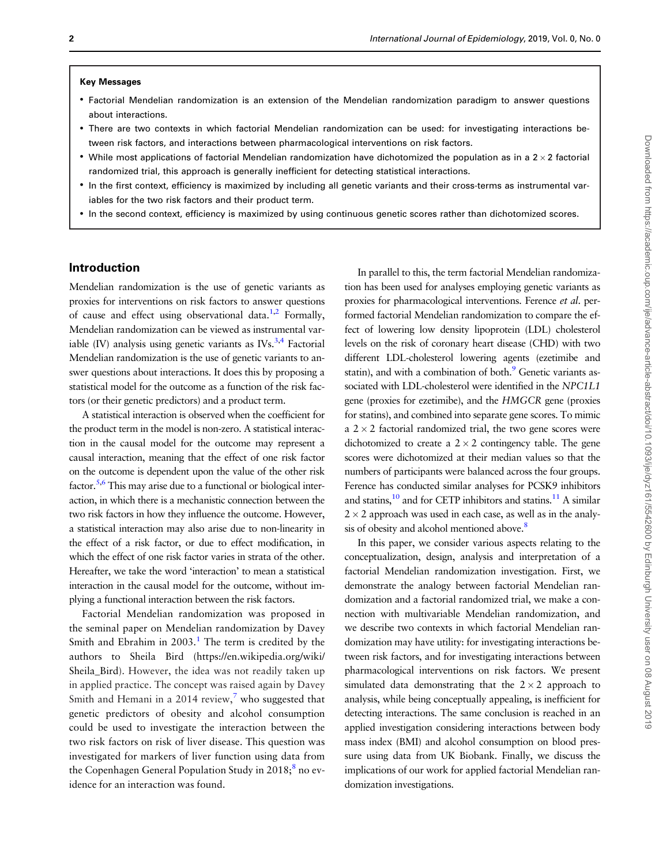#### <span id="page-2-0"></span>Key Messages

- Factorial Mendelian randomization is an extension of the Mendelian randomization paradigm to answer questions about interactions.
- There are two contexts in which factorial Mendelian randomization can be used: for investigating interactions between risk factors, and interactions between pharmacological interventions on risk factors.
- While most applications of factorial Mendelian randomization have dichotomized the population as in a 2  $\times$  2 factorial randomized trial, this approach is generally inefficient for detecting statistical interactions.
- In the first context, efficiency is maximized by including all genetic variants and their cross-terms as instrumental variables for the two risk factors and their product term.
- In the second context, efficiency is maximized by using continuous genetic scores rather than dichotomized scores.

#### Introduction

Mendelian randomization is the use of genetic variants as proxies for interventions on risk factors to answer questions of cause and effect using observational data.<sup>1,2</sup> Formally, Mendelian randomization can be viewed as instrumental var-iable (IV) analysis using genetic variants as IVs.<sup>[3,4](#page-11-0)</sup> Factorial Mendelian randomization is the use of genetic variants to answer questions about interactions. It does this by proposing a statistical model for the outcome as a function of the risk factors (or their genetic predictors) and a product term.

A statistical interaction is observed when the coefficient for the product term in the model is non-zero. A statistical interaction in the causal model for the outcome may represent a causal interaction, meaning that the effect of one risk factor on the outcome is dependent upon the value of the other risk factor.<sup>[5,6](#page-11-0)</sup> This may arise due to a functional or biological interaction, in which there is a mechanistic connection between the two risk factors in how they influence the outcome. However, a statistical interaction may also arise due to non-linearity in the effect of a risk factor, or due to effect modification, in which the effect of one risk factor varies in strata of the other. Hereafter, we take the word 'interaction' to mean a statistical interaction in the causal model for the outcome, without implying a functional interaction between the risk factors.

Factorial Mendelian randomization was proposed in the seminal paper on Mendelian randomization by Davey Smith and Ebrahim in  $2003<sup>1</sup>$ . The term is credited by the authors to Sheila Bird ([https://en.wikipedia.org/wiki/](https://en.wikipedia.org/wiki/Sheila_Bird) [Sheila\\_Bird](https://en.wikipedia.org/wiki/Sheila_Bird)). However, the idea was not readily taken up in applied practice. The concept was raised again by Davey Smith and Hemani in a 2014 review, $\frac{7}{1}$  $\frac{7}{1}$  $\frac{7}{1}$  who suggested that genetic predictors of obesity and alcohol consumption could be used to investigate the interaction between the two risk factors on risk of liver disease. This question was investigated for markers of liver function using data from the Copenhagen General Population Study in  $2018$  $2018$ ;<sup>8</sup> no evidence for an interaction was found.

In parallel to this, the term factorial Mendelian randomization has been used for analyses employing genetic variants as proxies for pharmacological interventions. Ference et al. performed factorial Mendelian randomization to compare the effect of lowering low density lipoprotein (LDL) cholesterol levels on the risk of coronary heart disease (CHD) with two different LDL-cholesterol lowering agents (ezetimibe and statin), and with a combination of both.<sup>9</sup> Genetic variants associated with LDL-cholesterol were identified in the NPC1L1 gene (proxies for ezetimibe), and the HMGCR gene (proxies for statins), and combined into separate gene scores. To mimic a  $2 \times 2$  factorial randomized trial, the two gene scores were dichotomized to create a  $2 \times 2$  contingency table. The gene scores were dichotomized at their median values so that the numbers of participants were balanced across the four groups. Ference has conducted similar analyses for PCSK9 inhibitors and statins, $10$  and for CETP inhibitors and statins. $11$  A similar  $2 \times 2$  approach was used in each case, as well as in the analysis of obesity and alcohol mentioned above.<sup>8</sup>

In this paper, we consider various aspects relating to the conceptualization, design, analysis and interpretation of a factorial Mendelian randomization investigation. First, we demonstrate the analogy between factorial Mendelian randomization and a factorial randomized trial, we make a connection with multivariable Mendelian randomization, and we describe two contexts in which factorial Mendelian randomization may have utility: for investigating interactions between risk factors, and for investigating interactions between pharmacological interventions on risk factors. We present simulated data demonstrating that the  $2 \times 2$  approach to analysis, while being conceptually appealing, is inefficient for detecting interactions. The same conclusion is reached in an applied investigation considering interactions between body mass index (BMI) and alcohol consumption on blood pressure using data from UK Biobank. Finally, we discuss the implications of our work for applied factorial Mendelian randomization investigations.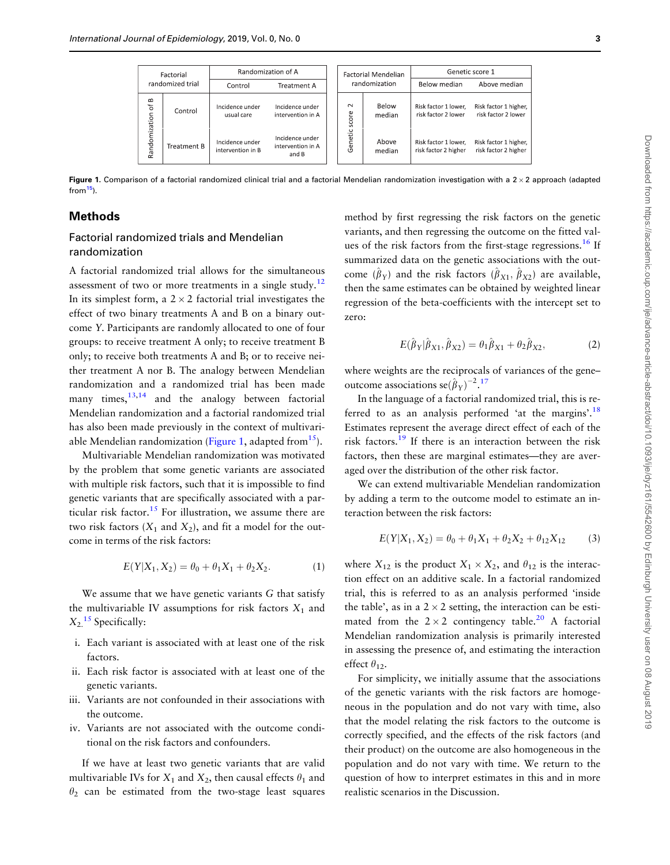<span id="page-3-0"></span>

|               | Factorial        | Randomization of A                   |                                               | Factorial Mendelian |                 | Genetic score 1                              |                                               |
|---------------|------------------|--------------------------------------|-----------------------------------------------|---------------------|-----------------|----------------------------------------------|-----------------------------------------------|
|               | randomized trial | Control                              | <b>Treatment A</b>                            |                     | randomization   | Below median<br>Above median                 |                                               |
| $\omega$<br>ð | Control          | Incidence under<br>usual care        | Incidence under<br>intervention in A          | $\sim$<br>ω<br>Scor | Below<br>median | Risk factor 1 lower.<br>risk factor 2 lower  | Risk factor 1 higher,<br>risk factor 2 lower  |
| Randomization | Treatment B      | Incidence under<br>intervention in B | Incidence under<br>intervention in A<br>and B | enetic<br>Ō         | Above<br>median | Risk factor 1 lower.<br>risk factor 2 higher | Risk factor 1 higher,<br>risk factor 2 higher |

Figure 1. Comparison of a factorial randomized clinical trial and a factorial Mendelian randomization investigation with a 2 × 2 approach (adapted  $from<sup>15</sup>$ ).

#### Methods

#### Factorial randomized trials and Mendelian randomization

A factorial randomized trial allows for the simultaneous assessment of two or more treatments in a single study.<sup>12</sup> In its simplest form, a  $2 \times 2$  factorial trial investigates the effect of two binary treatments A and B on a binary outcome Y. Participants are randomly allocated to one of four groups: to receive treatment A only; to receive treatment B only; to receive both treatments A and B; or to receive neither treatment A nor B. The analogy between Mendelian randomization and a randomized trial has been made many times, $13,14$  and the analogy between factorial Mendelian randomization and a factorial randomized trial has also been made previously in the context of multivariable Mendelian randomization (Figure 1, adapted from  $1^5$ ).

Multivariable Mendelian randomization was motivated by the problem that some genetic variants are associated with multiple risk factors, such that it is impossible to find genetic variants that are specifically associated with a par-ticular risk factor.<sup>[15](#page-11-0)</sup> For illustration, we assume there are two risk factors  $(X_1 \text{ and } X_2)$ , and fit a model for the outcome in terms of the risk factors:

$$
E(Y|X_1, X_2) = \theta_0 + \theta_1 X_1 + \theta_2 X_2.
$$
 (1)

We assume that we have genetic variants G that satisfy the multivariable IV assumptions for risk factors  $X_1$  and  $X_2$ <sup>[15](#page-11-0)</sup> Specifically:

- i. Each variant is associated with at least one of the risk factors.
- ii. Each risk factor is associated with at least one of the genetic variants.
- iii. Variants are not confounded in their associations with the outcome.
- iv. Variants are not associated with the outcome conditional on the risk factors and confounders.

If we have at least two genetic variants that are valid multivariable IVs for  $X_1$  and  $X_2$ , then causal effects  $\theta_1$  and  $\theta_2$  can be estimated from the two-stage least squares

method by first regressing the risk factors on the genetic variants, and then regressing the outcome on the fitted values of the risk factors from the first-stage regressions.<sup>16</sup> If summarized data on the genetic associations with the outcome  $(\hat{\beta}_Y)$  and the risk factors  $(\hat{\beta}_{X1}, \hat{\beta}_{X2})$  are available, then the same estimates can be obtained by weighted linear regression of the beta-coefficients with the intercept set to zero:

$$
E(\hat{\beta}_Y|\hat{\beta}_{X1},\hat{\beta}_{X2}) = \theta_1\hat{\beta}_{X1} + \theta_2\hat{\beta}_{X2},\tag{2}
$$

where weights are the reciprocals of variances of the gene– outcome associations  $se(\hat{\beta}_Y)^{-2}$ .<sup>[17](#page-11-0)</sup>

In the language of a factorial randomized trial, this is referred to as an analysis performed 'at the margins'.<sup>18</sup> Estimates represent the average direct effect of each of the risk factors.<sup>[19](#page-11-0)</sup> If there is an interaction between the risk factors, then these are marginal estimates—they are averaged over the distribution of the other risk factor.

We can extend multivariable Mendelian randomization by adding a term to the outcome model to estimate an interaction between the risk factors:

$$
E(Y|X_1, X_2) = \theta_0 + \theta_1 X_1 + \theta_2 X_2 + \theta_{12} X_{12}
$$
 (3)

where  $X_{12}$  is the product  $X_1 \times X_2$ , and  $\theta_{12}$  is the interaction effect on an additive scale. In a factorial randomized trial, this is referred to as an analysis performed 'inside the table', as in a  $2 \times 2$  setting, the interaction can be estimated from the  $2 \times 2$  contingency table.<sup>20</sup> A factorial Mendelian randomization analysis is primarily interested in assessing the presence of, and estimating the interaction effect  $\theta_{12}$ .

For simplicity, we initially assume that the associations of the genetic variants with the risk factors are homogeneous in the population and do not vary with time, also that the model relating the risk factors to the outcome is correctly specified, and the effects of the risk factors (and their product) on the outcome are also homogeneous in the population and do not vary with time. We return to the question of how to interpret estimates in this and in more realistic scenarios in the Discussion.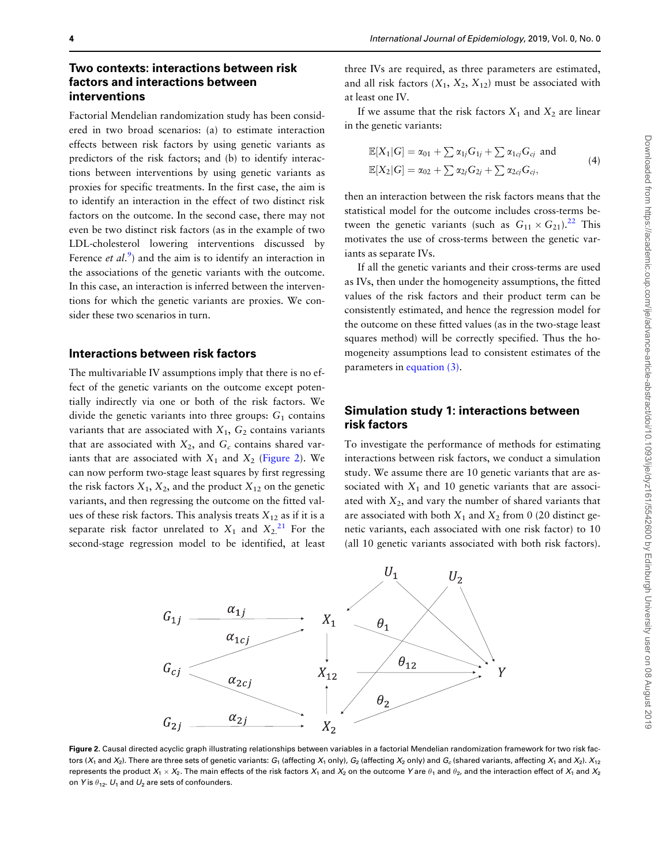#### <span id="page-4-0"></span>Two contexts: interactions between risk factors and interactions between interventions

Factorial Mendelian randomization study has been considered in two broad scenarios: (a) to estimate interaction effects between risk factors by using genetic variants as predictors of the risk factors; and (b) to identify interactions between interventions by using genetic variants as proxies for specific treatments. In the first case, the aim is to identify an interaction in the effect of two distinct risk factors on the outcome. In the second case, there may not even be two distinct risk factors (as in the example of two LDL-cholesterol lowering interventions discussed by Ference *et al.*<sup>[9](#page-11-0)</sup>) and the aim is to identify an interaction in the associations of the genetic variants with the outcome. In this case, an interaction is inferred between the interventions for which the genetic variants are proxies. We consider these two scenarios in turn.

#### Interactions between risk factors

The multivariable IV assumptions imply that there is no effect of the genetic variants on the outcome except potentially indirectly via one or both of the risk factors. We divide the genetic variants into three groups:  $G_1$  contains variants that are associated with  $X_1$ ,  $G_2$  contains variants that are associated with  $X_2$ , and  $G_c$  contains shared variants that are associated with  $X_1$  and  $X_2$  (Figure 2). We can now perform two-stage least squares by first regressing the risk factors  $X_1, X_2$ , and the product  $X_{12}$  on the genetic variants, and then regressing the outcome on the fitted values of these risk factors. This analysis treats  $X_{12}$  as if it is a separate risk factor unrelated to  $X_1$  and  $X_2$ .<sup>[21](#page-11-0)</sup> For the second-stage regression model to be identified, at least

three IVs are required, as three parameters are estimated, and all risk factors  $(X_1, X_2, X_{12})$  must be associated with at least one IV.

If we assume that the risk factors  $X_1$  and  $X_2$  are linear in the genetic variants:

$$
\mathbb{E}[X_1|G] = \alpha_{01} + \sum \alpha_{1j} G_{1j} + \sum \alpha_{1cj} G_{cj} \text{ and}
$$
  
\n
$$
\mathbb{E}[X_2|G] = \alpha_{02} + \sum \alpha_{2j} G_{2j} + \sum \alpha_{2cj} G_{cj},
$$
\n(4)

then an interaction between the risk factors means that the statistical model for the outcome includes cross-terms between the genetic variants (such as  $G_{11} \times G_{21}$ ).<sup>[22](#page-11-0)</sup> This motivates the use of cross-terms between the genetic variants as separate IVs.

If all the genetic variants and their cross-terms are used as IVs, then under the homogeneity assumptions, the fitted values of the risk factors and their product term can be consistently estimated, and hence the regression model for the outcome on these fitted values (as in the two-stage least squares method) will be correctly specified. Thus the homogeneity assumptions lead to consistent estimates of the parameters in [equation \(3\).](#page-3-0)

#### Simulation study 1: interactions between risk factors

To investigate the performance of methods for estimating interactions between risk factors, we conduct a simulation study. We assume there are 10 genetic variants that are associated with  $X_1$  and 10 genetic variants that are associated with  $X_2$ , and vary the number of shared variants that are associated with both  $X_1$  and  $X_2$  from 0 (20 distinct genetic variants, each associated with one risk factor) to 10 (all 10 genetic variants associated with both risk factors).



Figure 2. Causal directed acyclic graph illustrating relationships between variables in a factorial Mendelian randomization framework for two risk factors ( $X_1$  and  $X_2$ ). There are three sets of genetic variants:  $G_1$  (affecting  $X_1$  only),  $G_2$  (affecting  $X_2$  only) and  $G_c$  (shared variants, affecting  $X_1$  and  $X_2$ ).  $X_{12}$ represents the product  $X_1\times X_2.$  The main effects of the risk factors  $X_1$  and  $X_2$  on the outcome Y are  $\theta_1$  and  $\theta_2$ , and the interaction effect of  $X_1$  and  $X_2$ on Y is  $\theta_{12}$ .  $U_1$  and  $U_2$  are sets of confounders.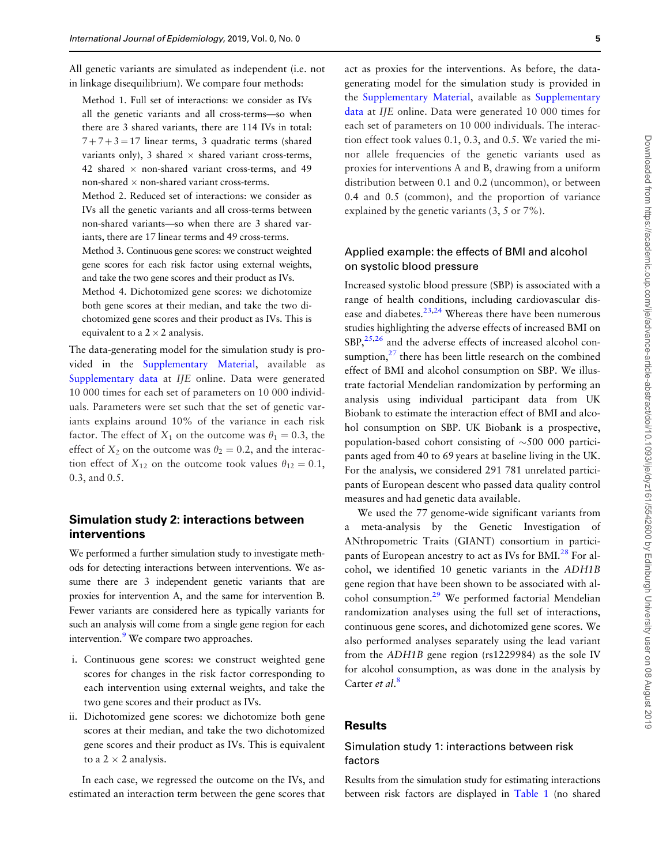<span id="page-5-0"></span>All genetic variants are simulated as independent (i.e. not in linkage disequilibrium). We compare four methods:

Method 1. Full set of interactions: we consider as IVs all the genetic variants and all cross-terms—so when there are 3 shared variants, there are 114 IVs in total:  $7 + 7 + 3 = 17$  linear terms, 3 quadratic terms (shared variants only), 3 shared  $\times$  shared variant cross-terms, 42 shared  $\times$  non-shared variant cross-terms, and 49 non-shared  $\times$  non-shared variant cross-terms.

Method 2. Reduced set of interactions: we consider as IVs all the genetic variants and all cross-terms between non-shared variants—so when there are 3 shared variants, there are 17 linear terms and 49 cross-terms.

Method 3. Continuous gene scores: we construct weighted gene scores for each risk factor using external weights, and take the two gene scores and their product as IVs.

Method 4. Dichotomized gene scores: we dichotomize both gene scores at their median, and take the two dichotomized gene scores and their product as IVs. This is equivalent to a 2  $\times$  2 analysis.

The data-generating model for the simulation study is provided in the [Supplementary Material](https://academic.oup.com/ije/article-lookup/doi/10.1093/ije/dyz161#supplementary-data), available as [Supplementary data](https://academic.oup.com/ije/article-lookup/doi/10.1093/ije/dyz161#supplementary-data) at IJE online. Data were generated 10 000 times for each set of parameters on 10 000 individuals. Parameters were set such that the set of genetic variants explains around 10% of the variance in each risk factor. The effect of  $X_1$  on the outcome was  $\theta_1 = 0.3$ , the effect of  $X_2$  on the outcome was  $\theta_2 = 0.2$ , and the interaction effect of  $X_{12}$  on the outcome took values  $\theta_{12} = 0.1$ , 0.3, and 0.5.

#### Simulation study 2: interactions between interventions

We performed a further simulation study to investigate methods for detecting interactions between interventions. We assume there are 3 independent genetic variants that are proxies for intervention A, and the same for intervention B. Fewer variants are considered here as typically variants for such an analysis will come from a single gene region for each intervention.<sup>[9](#page-11-0)</sup> We compare two approaches.

- i. Continuous gene scores: we construct weighted gene scores for changes in the risk factor corresponding to each intervention using external weights, and take the two gene scores and their product as IVs.
- ii. Dichotomized gene scores: we dichotomize both gene scores at their median, and take the two dichotomized gene scores and their product as IVs. This is equivalent to a 2  $\times$  2 analysis.

In each case, we regressed the outcome on the IVs, and estimated an interaction term between the gene scores that

Downloaded from https://academic.oup.com/ije/advance-article-abstract/doi/10.1093/ije/dyz161/5542600 by Edinburgh University user on 08 August 2019 Downloaded from https://academic.oup.com/ije/advance-article-abstract/doi/10.1093/ije/dyz161/5542600 by Edinburgh University user on 08 August 2019

act as proxies for the interventions. As before, the datagenerating model for the simulation study is provided in the [Supplementary Material](https://academic.oup.com/ije/article-lookup/doi/10.1093/ije/dyz161#supplementary-data), available as [Supplementary](https://academic.oup.com/ije/article-lookup/doi/10.1093/ije/dyz161#supplementary-data) [data](https://academic.oup.com/ije/article-lookup/doi/10.1093/ije/dyz161#supplementary-data) at IJE online. Data were generated 10 000 times for each set of parameters on 10 000 individuals. The interaction effect took values 0.1, 0.3, and 0.5. We varied the minor allele frequencies of the genetic variants used as proxies for interventions A and B, drawing from a uniform distribution between 0.1 and 0.2 (uncommon), or between 0.4 and 0.5 (common), and the proportion of variance explained by the genetic variants (3, 5 or 7%).

#### Applied example: the effects of BMI and alcohol on systolic blood pressure

Increased systolic blood pressure (SBP) is associated with a range of health conditions, including cardiovascular dis-ease and diabetes.<sup>[23,24](#page-12-0)</sup> Whereas there have been numerous studies highlighting the adverse effects of increased BMI on  $SBP<sub>1</sub><sup>25,26</sup>$  and the adverse effects of increased alcohol consumption, $27$  there has been little research on the combined effect of BMI and alcohol consumption on SBP. We illustrate factorial Mendelian randomization by performing an analysis using individual participant data from UK Biobank to estimate the interaction effect of BMI and alcohol consumption on SBP. UK Biobank is a prospective, population-based cohort consisting of  $\sim$  500 000 participants aged from 40 to 69 years at baseline living in the UK. For the analysis, we considered 291 781 unrelated participants of European descent who passed data quality control measures and had genetic data available.

We used the 77 genome-wide significant variants from a meta-analysis by the Genetic Investigation of ANthropometric Traits (GIANT) consortium in participants of European ancestry to act as IVs for BMI.<sup>28</sup> For alcohol, we identified 10 genetic variants in the ADH1B gene region that have been shown to be associated with alcohol consumption[.29](#page-12-0) We performed factorial Mendelian randomization analyses using the full set of interactions, continuous gene scores, and dichotomized gene scores. We also performed analyses separately using the lead variant from the ADH1B gene region (rs1229984) as the sole IV for alcohol consumption, as was done in the analysis by Carter et al.<sup>[8](#page-11-0)</sup>

#### Results

#### Simulation study 1: interactions between risk factors

Results from the simulation study for estimating interactions between risk factors are displayed in [Table 1](#page-6-0) (no shared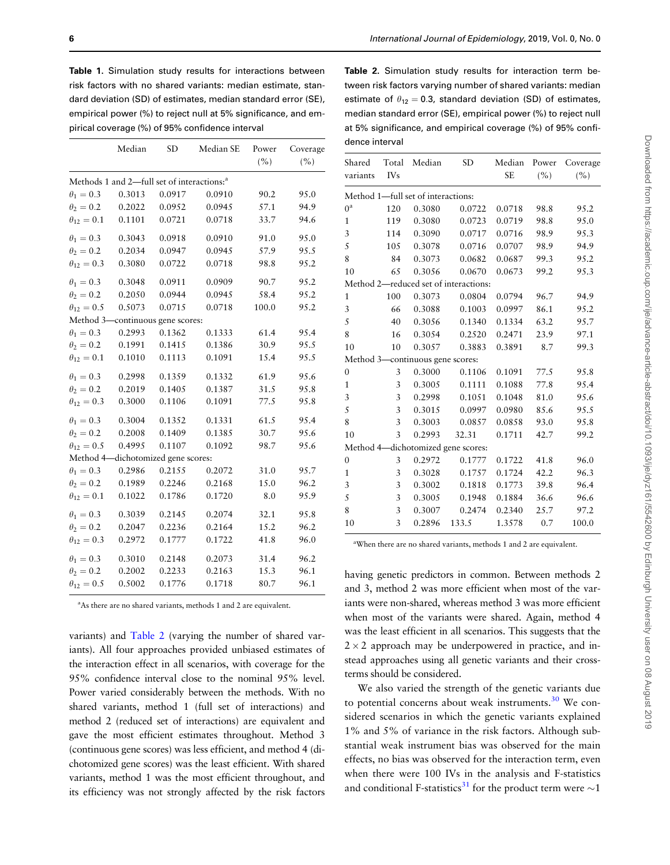<span id="page-6-0"></span>Table 1. Simulation study results for interactions between risk factors with no shared variants: median estimate, standard deviation (SD) of estimates, median standard error (SE), empirical power (%) to reject null at 5% significance, and empirical coverage (%) of 95% confidence interval

|                                                        | Median | <b>SD</b>               | Median SE | Power | Coverage |  |  |  |
|--------------------------------------------------------|--------|-------------------------|-----------|-------|----------|--|--|--|
|                                                        |        |                         |           | (%)   | (%)      |  |  |  |
| Methods 1 and 2-full set of interactions: <sup>a</sup> |        |                         |           |       |          |  |  |  |
| $\theta_1=0.3$                                         | 0.3013 | 0.0917                  | 0.0910    | 90.2  | 95.0     |  |  |  |
| $\theta_2=0.2$                                         | 0.2022 | 0.0952                  | 0.0945    | 57.1  | 94.9     |  |  |  |
| $\theta_{12}=0.1$                                      | 0.1101 | 0.0721                  | 0.0718    | 33.7  | 94.6     |  |  |  |
| $\theta_1 = 0.3$                                       | 0.3043 | 0.0918                  | 0.0910    | 91.0  | 95.0     |  |  |  |
| $\theta_2 = 0.2$                                       | 0.2034 | 0.0947                  | 0.0945    | 57.9  | 95.5     |  |  |  |
| $\theta_{12} = 0.3$                                    | 0.3080 | 0.0722                  | 0.0718    | 98.8  | 95.2     |  |  |  |
| $\theta_1 = 0.3$                                       | 0.3048 | 0.0911                  | 0.0909    | 90.7  | 95.2     |  |  |  |
| $\theta_2=0.2$                                         | 0.2050 | 0.0944                  | 0.0945    | 58.4  | 95.2     |  |  |  |
| $\theta_{12} = 0.5$                                    | 0.5073 | 0.0715                  | 0.0718    | 100.0 | 95.2     |  |  |  |
| Method 3-                                              |        | continuous gene scores: |           |       |          |  |  |  |
| $\theta_1=0.3$                                         | 0.2993 | 0.1362                  | 0.1333    | 61.4  | 95.4     |  |  |  |
| $\theta_2=0.2$                                         | 0.1991 | 0.1415                  | 0.1386    | 30.9  | 95.5     |  |  |  |
| $\theta_{12}=0.1$                                      | 0.1010 | 0.1113                  | 0.1091    | 15.4  | 95.5     |  |  |  |
| $\theta_1 = 0.3$                                       | 0.2998 | 0.1359                  | 0.1332    | 61.9  | 95.6     |  |  |  |
| $\theta_2=0.2$                                         | 0.2019 | 0.1405                  | 0.1387    | 31.5  | 95.8     |  |  |  |
| $\theta_{12} = 0.3$                                    | 0.3000 | 0.1106                  | 0.1091    | 77.5  | 95.8     |  |  |  |
| $\theta_1 = 0.3$                                       | 0.3004 | 0.1352                  | 0.1331    | 61.5  | 95.4     |  |  |  |
| $\theta_2 = 0.2$                                       | 0.2008 | 0.1409                  | 0.1385    | 30.7  | 95.6     |  |  |  |
| $\theta_{12} = 0.5$                                    | 0.4995 | 0.1107                  | 0.1092    | 98.7  | 95.6     |  |  |  |
| Method 4-dichotomized gene scores:                     |        |                         |           |       |          |  |  |  |
| $\theta_1 = 0.3$                                       | 0.2986 | 0.2155                  | 0.2072    | 31.0  | 95.7     |  |  |  |
| $\theta_2=0.2$                                         | 0.1989 | 0.2246                  | 0.2168    | 15.0  | 96.2     |  |  |  |
| $\theta_{12} = 0.1$                                    | 0.1022 | 0.1786                  | 0.1720    | 8.0   | 95.9     |  |  |  |
| $\theta_1 = 0.3$                                       | 0.3039 | 0.2145                  | 0.2074    | 32.1  | 95.8     |  |  |  |
| $\theta_2=0.2$                                         | 0.2047 | 0.2236                  | 0.2164    | 15.2  | 96.2     |  |  |  |
| $\theta_{12} = 0.3$                                    | 0.2972 | 0.1777                  | 0.1722    | 41.8  | 96.0     |  |  |  |
| $\theta_1=0.3$                                         | 0.3010 | 0.2148                  | 0.2073    | 31.4  | 96.2     |  |  |  |
| $\theta_2=0.2$                                         | 0.2002 | 0.2233                  | 0.2163    | 15.3  | 96.1     |  |  |  |
| $\theta_{12} = 0.5$                                    | 0.5002 | 0.1776                  | 0.1718    | 80.7  | 96.1     |  |  |  |

Table 2. Simulation study results for interaction term between risk factors varying number of shared variants: median estimate of  $\theta_{12} = 0.3$ , standard deviation (SD) of estimates, median standard error (SE), empirical power (%) to reject null at 5% significance, and empirical coverage (%) of 95% confidence interval

| Shared<br>variants | Total<br><b>IVs</b>                | Median                             | <b>SD</b>                             | Median<br><b>SE</b> | Power<br>(%) | Coverage<br>(%) |  |  |  |  |
|--------------------|------------------------------------|------------------------------------|---------------------------------------|---------------------|--------------|-----------------|--|--|--|--|
|                    |                                    | Method 1-full set of interactions: |                                       |                     |              |                 |  |  |  |  |
| $0^a$              | 120                                | 0.3080                             | 0.0722                                | 0.0718              | 98.8         | 95.2            |  |  |  |  |
| 1                  | 119                                | 0.3080                             | 0.0723                                | 0.0719              | 98.8         | 95.0            |  |  |  |  |
| 3                  | 114                                | 0.3090                             | 0.0717                                | 0.0716              | 98.9         | 95.3            |  |  |  |  |
| 5                  | 105                                | 0.3078                             | 0.0716                                | 0.0707              | 98.9         | 94.9            |  |  |  |  |
| 8                  | 84                                 | 0.3073                             | 0.0682                                | 0.0687              | 99.3         | 95.2            |  |  |  |  |
| 10                 | 65                                 | 0.3056                             | 0.0670                                | 0.0673              | 99.2         | 95.3            |  |  |  |  |
|                    |                                    |                                    | Method 2-reduced set of interactions: |                     |              |                 |  |  |  |  |
| $\mathbf{1}$       | 100                                | 0.3073                             | 0.0804                                | 0.0794              | 96.7         | 94.9            |  |  |  |  |
| 3                  | 66                                 | 0.3088                             | 0.1003                                | 0.0997              | 86.1         | 95.2            |  |  |  |  |
| 5                  | 40                                 | 0.3056                             | 0.1340                                | 0.1334              | 63.2         | 95.7            |  |  |  |  |
| 8                  | 16                                 | 0.3054                             | 0.2520                                | 0.2471              | 23.9         | 97.1            |  |  |  |  |
| 10                 | 10                                 | 0.3057                             | 0.3883                                | 0.3891              | 8.7          | 99.3            |  |  |  |  |
|                    | Method 3-continuous gene scores:   |                                    |                                       |                     |              |                 |  |  |  |  |
| $\theta$           | 3                                  | 0.3000                             | 0.1106                                | 0.1091              | 77.5         | 95.8            |  |  |  |  |
| $\mathbf{1}$       | 3                                  | 0.3005                             | 0.1111                                | 0.1088              | 77.8         | 95.4            |  |  |  |  |
| 3                  | 3                                  | 0.2998                             | 0.1051                                | 0.1048              | 81.0         | 95.6            |  |  |  |  |
| 5                  | 3                                  | 0.3015                             | 0.0997                                | 0.0980              | 85.6         | 95.5            |  |  |  |  |
| 8                  | 3                                  | 0.3003                             | 0.0857                                | 0.0858              | 93.0         | 95.8            |  |  |  |  |
| 10                 | 3                                  | 0.2993                             | 32.31                                 | 0.1711              | 42.7         | 99.2            |  |  |  |  |
|                    | Method 4-dichotomized gene scores: |                                    |                                       |                     |              |                 |  |  |  |  |
| $\theta$           | 3                                  | 0.2972                             | 0.1777                                | 0.1722              | 41.8         | 96.0            |  |  |  |  |
| $\mathbf{1}$       | 3                                  | 0.3028                             | 0.1757                                | 0.1724              | 42.2         | 96.3            |  |  |  |  |
| 3                  | 3                                  | 0.3002                             | 0.1818                                | 0.1773              | 39.8         | 96.4            |  |  |  |  |
| 5                  | 3                                  | 0.3005                             | 0.1948                                | 0.1884              | 36.6         | 96.6            |  |  |  |  |
| 8                  | 3                                  | 0.3007                             | 0.2474                                | 0.2340              | 25.7         | 97.2            |  |  |  |  |
| 10                 | 3                                  | 0.2896                             | 133.5                                 | 1.3578              | 0.7          | 100.0           |  |  |  |  |

a When there are no shared variants, methods 1 and 2 are equivalent.

having genetic predictors in common. Between methods 2 and 3, method 2 was more efficient when most of the variants were non-shared, whereas method 3 was more efficient when most of the variants were shared. Again, method 4 was the least efficient in all scenarios. This suggests that the  $2 \times 2$  approach may be underpowered in practice, and instead approaches using all genetic variants and their crossterms should be considered.

We also varied the strength of the genetic variants due to potential concerns about weak instruments. $30$  We considered scenarios in which the genetic variants explained 1% and 5% of variance in the risk factors. Although substantial weak instrument bias was observed for the main effects, no bias was observed for the interaction term, even when there were 100 IVs in the analysis and F-statistics and conditional F-statistics<sup>31</sup> for the product term were  $\sim$ 1

a As there are no shared variants, methods 1 and 2 are equivalent.

variants) and Table 2 (varying the number of shared variants). All four approaches provided unbiased estimates of the interaction effect in all scenarios, with coverage for the 95% confidence interval close to the nominal 95% level. Power varied considerably between the methods. With no shared variants, method 1 (full set of interactions) and method 2 (reduced set of interactions) are equivalent and gave the most efficient estimates throughout. Method 3 (continuous gene scores) was less efficient, and method 4 (dichotomized gene scores) was the least efficient. With shared variants, method 1 was the most efficient throughout, and its efficiency was not strongly affected by the risk factors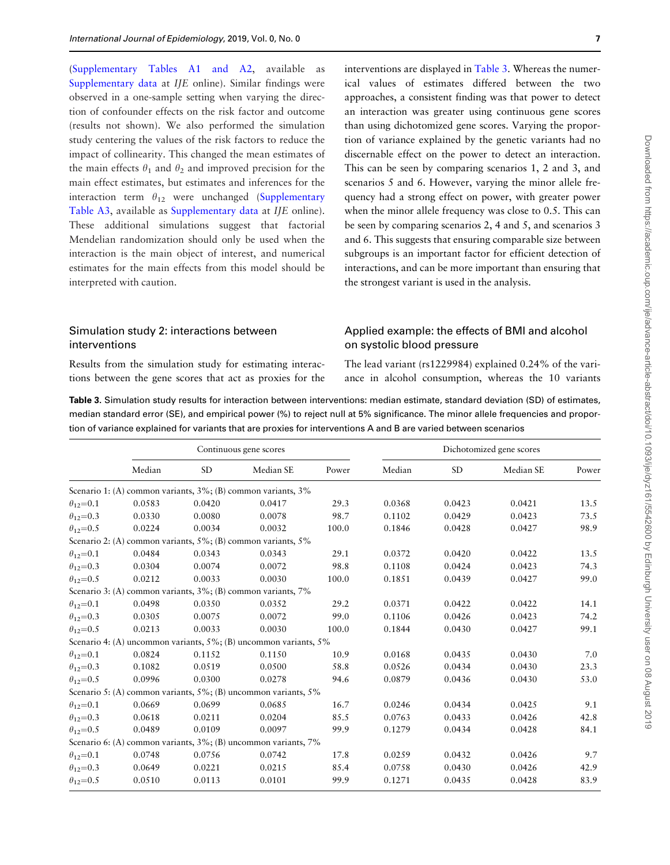[\(Supplementary Tables A1 and A2,](https://academic.oup.com/ije/article-lookup/doi/10.1093/ije/dyz161#supplementary-data) available as [Supplementary data](https://academic.oup.com/ije/article-lookup/doi/10.1093/ije/dyz161#supplementary-data) at IJE online). Similar findings were observed in a one-sample setting when varying the direction of confounder effects on the risk factor and outcome (results not shown). We also performed the simulation study centering the values of the risk factors to reduce the impact of collinearity. This changed the mean estimates of the main effects  $\theta_1$  and  $\theta_2$  and improved precision for the main effect estimates, but estimates and inferences for the interaction term  $\theta_{12}$  were unchanged ([Supplementary](https://academic.oup.com/ije/article-lookup/doi/10.1093/ije/dyz161#supplementary-data) [Table A3,](https://academic.oup.com/ije/article-lookup/doi/10.1093/ije/dyz161#supplementary-data) available as [Supplementary data](https://academic.oup.com/ije/article-lookup/doi/10.1093/ije/dyz161#supplementary-data) at IJE online). These additional simulations suggest that factorial Mendelian randomization should only be used when the interaction is the main object of interest, and numerical estimates for the main effects from this model should be interpreted with caution.

#### Simulation study 2: interactions between interventions

Results from the simulation study for estimating interactions between the gene scores that act as proxies for the

interventions are displayed in Table 3. Whereas the numerical values of estimates differed between the two approaches, a consistent finding was that power to detect an interaction was greater using continuous gene scores than using dichotomized gene scores. Varying the proportion of variance explained by the genetic variants had no discernable effect on the power to detect an interaction. This can be seen by comparing scenarios 1, 2 and 3, and scenarios 5 and 6. However, varying the minor allele frequency had a strong effect on power, with greater power when the minor allele frequency was close to 0.5. This can be seen by comparing scenarios 2, 4 and 5, and scenarios 3 and 6. This suggests that ensuring comparable size between subgroups is an important factor for efficient detection of interactions, and can be more important than ensuring that the strongest variant is used in the analysis.

#### Applied example: the effects of BMI and alcohol on systolic blood pressure

The lead variant (rs1229984) explained 0.24% of the variance in alcohol consumption, whereas the 10 variants

Table 3. Simulation study results for interaction between interventions: median estimate, standard deviation (SD) of estimates, median standard error (SE), and empirical power (%) to reject null at 5% significance. The minor allele frequencies and proportion of variance explained for variants that are proxies for interventions A and B are varied between scenarios

|                     | Continuous gene scores |           |                                                                         |       | Dichotomized gene scores |           |           |       |
|---------------------|------------------------|-----------|-------------------------------------------------------------------------|-------|--------------------------|-----------|-----------|-------|
|                     | Median                 | <b>SD</b> | Median SE                                                               | Power | Median                   | <b>SD</b> | Median SE | Power |
|                     |                        |           | Scenario 1: (A) common variants, 3%; (B) common variants, 3%            |       |                          |           |           |       |
| $\theta_{12} = 0.1$ | 0.0583                 | 0.0420    | 0.0417                                                                  | 29.3  | 0.0368                   | 0.0423    | 0.0421    | 13.5  |
| $\theta_{12} = 0.3$ | 0.0330                 | 0.0080    | 0.0078                                                                  | 98.7  | 0.1102                   | 0.0429    | 0.0423    | 73.5  |
| $\theta_{12} = 0.5$ | 0.0224                 | 0.0034    | 0.0032                                                                  | 100.0 | 0.1846                   | 0.0428    | 0.0427    | 98.9  |
|                     |                        |           | Scenario 2: (A) common variants, $5\%$ ; (B) common variants, $5\%$     |       |                          |           |           |       |
| $\theta_{12} = 0.1$ | 0.0484                 | 0.0343    | 0.0343                                                                  | 29.1  | 0.0372                   | 0.0420    | 0.0422    | 13.5  |
| $\theta_{12} = 0.3$ | 0.0304                 | 0.0074    | 0.0072                                                                  | 98.8  | 0.1108                   | 0.0424    | 0.0423    | 74.3  |
| $\theta_{12} = 0.5$ | 0.0212                 | 0.0033    | 0.0030                                                                  | 100.0 | 0.1851                   | 0.0439    | 0.0427    | 99.0  |
|                     |                        |           | Scenario 3: (A) common variants, $3\%$ ; (B) common variants, $7\%$     |       |                          |           |           |       |
| $\theta_{12} = 0.1$ | 0.0498                 | 0.0350    | 0.0352                                                                  | 29.2  | 0.0371                   | 0.0422    | 0.0422    | 14.1  |
| $\theta_{12} = 0.3$ | 0.0305                 | 0.0075    | 0.0072                                                                  | 99.0  | 0.1106                   | 0.0426    | 0.0423    | 74.2  |
| $\theta_{12} = 0.5$ | 0.0213                 | 0.0033    | 0.0030                                                                  | 100.0 | 0.1844                   | 0.0430    | 0.0427    | 99.1  |
|                     |                        |           | Scenario 4: (A) uncommon variants, $5\%$ ; (B) uncommon variants, $5\%$ |       |                          |           |           |       |
| $\theta_{12} = 0.1$ | 0.0824                 | 0.1152    | 0.1150                                                                  | 10.9  | 0.0168                   | 0.0435    | 0.0430    | 7.0   |
| $\theta_{12} = 0.3$ | 0.1082                 | 0.0519    | 0.0500                                                                  | 58.8  | 0.0526                   | 0.0434    | 0.0430    | 23.3  |
| $\theta_{12} = 0.5$ | 0.0996                 | 0.0300    | 0.0278                                                                  | 94.6  | 0.0879                   | 0.0436    | 0.0430    | 53.0  |
|                     |                        |           | Scenario 5: (A) common variants, $5\%$ ; (B) uncommon variants, $5\%$   |       |                          |           |           |       |
| $\theta_{12} = 0.1$ | 0.0669                 | 0.0699    | 0.0685                                                                  | 16.7  | 0.0246                   | 0.0434    | 0.0425    | 9.1   |
| $\theta_{12} = 0.3$ | 0.0618                 | 0.0211    | 0.0204                                                                  | 85.5  | 0.0763                   | 0.0433    | 0.0426    | 42.8  |
| $\theta_{12} = 0.5$ | 0.0489                 | 0.0109    | 0.0097                                                                  | 99.9  | 0.1279                   | 0.0434    | 0.0428    | 84.1  |
|                     |                        |           | Scenario 6: (A) common variants, 3%; (B) uncommon variants, 7%          |       |                          |           |           |       |
| $\theta_{12} = 0.1$ | 0.0748                 | 0.0756    | 0.0742                                                                  | 17.8  | 0.0259                   | 0.0432    | 0.0426    | 9.7   |
| $\theta_{12} = 0.3$ | 0.0649                 | 0.0221    | 0.0215                                                                  | 85.4  | 0.0758                   | 0.0430    | 0.0426    | 42.9  |
| $\theta_{12} = 0.5$ | 0.0510                 | 0.0113    | 0.0101                                                                  | 99.9  | 0.1271                   | 0.0435    | 0.0428    | 83.9  |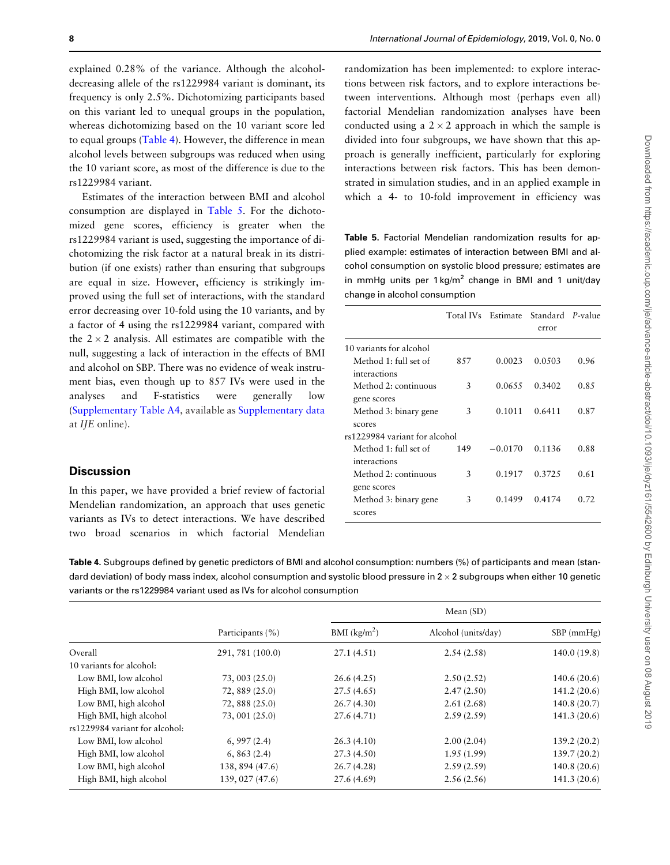explained 0.28% of the variance. Although the alcoholdecreasing allele of the rs1229984 variant is dominant, its frequency is only 2.5%. Dichotomizing participants based on this variant led to unequal groups in the population, whereas dichotomizing based on the 10 variant score led to equal groups (Table 4). However, the difference in mean alcohol levels between subgroups was reduced when using the 10 variant score, as most of the difference is due to the rs1229984 variant.

Estimates of the interaction between BMI and alcohol consumption are displayed in Table 5. For the dichotomized gene scores, efficiency is greater when the rs1229984 variant is used, suggesting the importance of dichotomizing the risk factor at a natural break in its distribution (if one exists) rather than ensuring that subgroups are equal in size. However, efficiency is strikingly improved using the full set of interactions, with the standard error decreasing over 10-fold using the 10 variants, and by a factor of 4 using the rs1229984 variant, compared with the  $2 \times 2$  analysis. All estimates are compatible with the null, suggesting a lack of interaction in the effects of BMI and alcohol on SBP. There was no evidence of weak instrument bias, even though up to 857 IVs were used in the analyses and F-statistics were generally low [\(Supplementary Table A4,](https://academic.oup.com/ije/article-lookup/doi/10.1093/ije/dyz161#supplementary-data) available as [Supplementary data](https://academic.oup.com/ije/article-lookup/doi/10.1093/ije/dyz161#supplementary-data) at IJE online).

#### **Discussion**

In this paper, we have provided a brief review of factorial Mendelian randomization, an approach that uses genetic variants as IVs to detect interactions. We have described two broad scenarios in which factorial Mendelian

randomization has been implemented: to explore interactions between risk factors, and to explore interactions between interventions. Although most (perhaps even all) factorial Mendelian randomization analyses have been conducted using a  $2 \times 2$  approach in which the sample is divided into four subgroups, we have shown that this approach is generally inefficient, particularly for exploring interactions between risk factors. This has been demonstrated in simulation studies, and in an applied example in which a 4- to 10-fold improvement in efficiency was

Table 5. Factorial Mendelian randomization results for applied example: estimates of interaction between BMI and alcohol consumption on systolic blood pressure; estimates are in mmHg units per  $1 \text{ kg/m}^2$  change in BMI and 1 unit/day change in alcohol consumption

|                                       |      | Total IVs Estimate | Standard P-value<br>error |      |
|---------------------------------------|------|--------------------|---------------------------|------|
| 10 variants for alcohol               |      |                    |                           |      |
| Method 1: full set of<br>interactions | 8.57 | 0.0023             | 0.0503                    | 0.96 |
| Method 2: continuous<br>gene scores   | 3    | 0.0655             | 0.3402                    | 0.85 |
| Method 3: binary gene<br>scores       | 3    | 0.1011             | 0.6411                    | 0.87 |
| rs1229984 variant for alcohol         |      |                    |                           |      |
| Method 1: full set of<br>interactions | 149  | $-0.0170$          | 0.1136                    | 0.88 |
| Method 2: continuous<br>gene scores   | 3    | 0.1917             | 0.3725                    | 0.61 |
| Method 3: binary gene<br>scores       | 3    | 0.1499             | 0.4174                    | 0.72 |

Table 4. Subgroups defined by genetic predictors of BMI and alcohol consumption: numbers (%) of participants and mean (standard deviation) of body mass index, alcohol consumption and systolic blood pressure in 2  $\times$  2 subgroups when either 10 genetic variants or the rs1229984 variant used as IVs for alcohol consumption

|                                |                  | Mean $(SD)$              |                     |              |  |  |
|--------------------------------|------------------|--------------------------|---------------------|--------------|--|--|
|                                | Participants (%) | BMI (kg/m <sup>2</sup> ) | Alcohol (units/day) | $SBP$ (mmHg) |  |  |
| Overall                        | 291, 781 (100.0) | 27.1(4.51)               | 2.54(2.58)          | 140.0(19.8)  |  |  |
| 10 variants for alcohol:       |                  |                          |                     |              |  |  |
| Low BMI, low alcohol           | 73, 003 (25.0)   | 26.6(4.25)               | 2.50(2.52)          | 140.6(20.6)  |  |  |
| High BMI, low alcohol          | 72, 889 (25.0)   | 27.5(4.65)               | 2.47(2.50)          | 141.2(20.6)  |  |  |
| Low BMI, high alcohol          | 72, 888 (25.0)   | 26.7(4.30)               | 2.61(2.68)          | 140.8 (20.7) |  |  |
| High BMI, high alcohol         | 73, 001 (25.0)   | 27.6(4.71)               | 2.59(2.59)          | 141.3(20.6)  |  |  |
| rs1229984 variant for alcohol: |                  |                          |                     |              |  |  |
| Low BMI, low alcohol           | (6, 997(2.4))    | 26.3(4.10)               | 2.00(2.04)          | 139.2(20.2)  |  |  |
| High BMI, low alcohol          | 6, 863(2.4)      | 27.3(4.50)               | 1.95(1.99)          | 139.7(20.2)  |  |  |
| Low BMI, high alcohol          | 138, 894 (47.6)  | 26.7(4.28)               | 2.59(2.59)          | 140.8(20.6)  |  |  |
| High BMI, high alcohol         | 139, 027 (47.6)  | 27.6(4.69)               | 2.56(2.56)          | 141.3(20.6)  |  |  |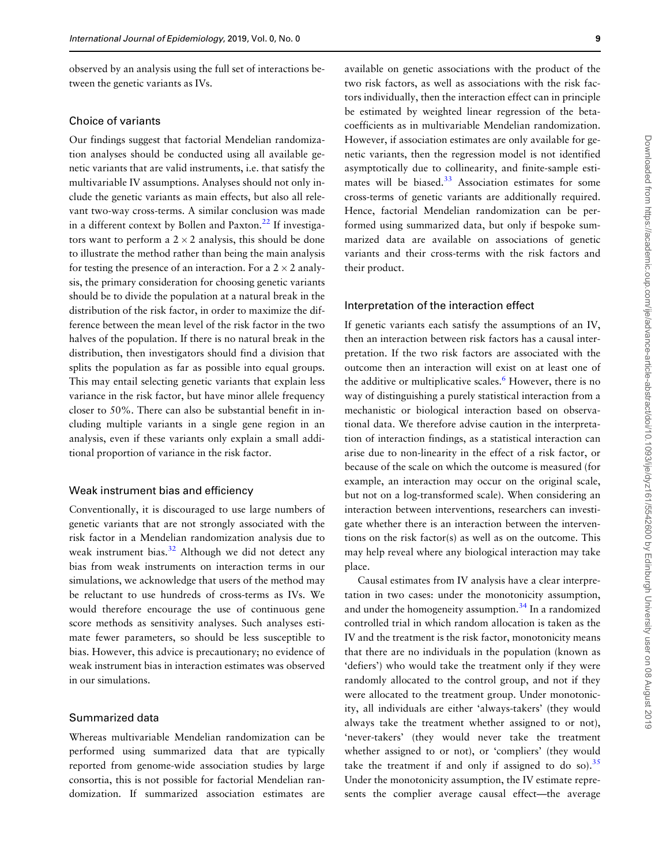<span id="page-9-0"></span>observed by an analysis using the full set of interactions between the genetic variants as IVs.

#### Choice of variants

Our findings suggest that factorial Mendelian randomization analyses should be conducted using all available genetic variants that are valid instruments, i.e. that satisfy the multivariable IV assumptions. Analyses should not only include the genetic variants as main effects, but also all relevant two-way cross-terms. A similar conclusion was made in a different context by Bollen and Paxton.<sup>[22](#page-11-0)</sup> If investigators want to perform a 2  $\times$  2 analysis, this should be done to illustrate the method rather than being the main analysis for testing the presence of an interaction. For a  $2 \times 2$  analysis, the primary consideration for choosing genetic variants should be to divide the population at a natural break in the distribution of the risk factor, in order to maximize the difference between the mean level of the risk factor in the two halves of the population. If there is no natural break in the distribution, then investigators should find a division that splits the population as far as possible into equal groups. This may entail selecting genetic variants that explain less variance in the risk factor, but have minor allele frequency closer to 50%. There can also be substantial benefit in including multiple variants in a single gene region in an analysis, even if these variants only explain a small additional proportion of variance in the risk factor.

#### Weak instrument bias and efficiency

Conventionally, it is discouraged to use large numbers of genetic variants that are not strongly associated with the risk factor in a Mendelian randomization analysis due to weak instrument bias.<sup>32</sup> Although we did not detect any bias from weak instruments on interaction terms in our simulations, we acknowledge that users of the method may be reluctant to use hundreds of cross-terms as IVs. We would therefore encourage the use of continuous gene score methods as sensitivity analyses. Such analyses estimate fewer parameters, so should be less susceptible to bias. However, this advice is precautionary; no evidence of weak instrument bias in interaction estimates was observed in our simulations.

#### Summarized data

Whereas multivariable Mendelian randomization can be performed using summarized data that are typically reported from genome-wide association studies by large consortia, this is not possible for factorial Mendelian randomization. If summarized association estimates are

available on genetic associations with the product of the two risk factors, as well as associations with the risk factors individually, then the interaction effect can in principle be estimated by weighted linear regression of the betacoefficients as in multivariable Mendelian randomization. However, if association estimates are only available for genetic variants, then the regression model is not identified asymptotically due to collinearity, and finite-sample estimates will be biased. $33$  Association estimates for some cross-terms of genetic variants are additionally required. Hence, factorial Mendelian randomization can be performed using summarized data, but only if bespoke summarized data are available on associations of genetic variants and their cross-terms with the risk factors and their product.

#### Interpretation of the interaction effect

If genetic variants each satisfy the assumptions of an IV, then an interaction between risk factors has a causal interpretation. If the two risk factors are associated with the outcome then an interaction will exist on at least one of the additive or multiplicative scales.<sup>[6](#page-11-0)</sup> However, there is no way of distinguishing a purely statistical interaction from a mechanistic or biological interaction based on observational data. We therefore advise caution in the interpretation of interaction findings, as a statistical interaction can arise due to non-linearity in the effect of a risk factor, or because of the scale on which the outcome is measured (for example, an interaction may occur on the original scale, but not on a log-transformed scale). When considering an interaction between interventions, researchers can investigate whether there is an interaction between the interventions on the risk factor(s) as well as on the outcome. This may help reveal where any biological interaction may take place.

Causal estimates from IV analysis have a clear interpretation in two cases: under the monotonicity assumption, and under the homogeneity assumption. $34$  In a randomized controlled trial in which random allocation is taken as the IV and the treatment is the risk factor, monotonicity means that there are no individuals in the population (known as 'defiers') who would take the treatment only if they were randomly allocated to the control group, and not if they were allocated to the treatment group. Under monotonicity, all individuals are either 'always-takers' (they would always take the treatment whether assigned to or not), 'never-takers' (they would never take the treatment whether assigned to or not), or 'compliers' (they would take the treatment if and only if assigned to do so).<sup>35</sup> Under the monotonicity assumption, the IV estimate represents the complier average causal effect—the average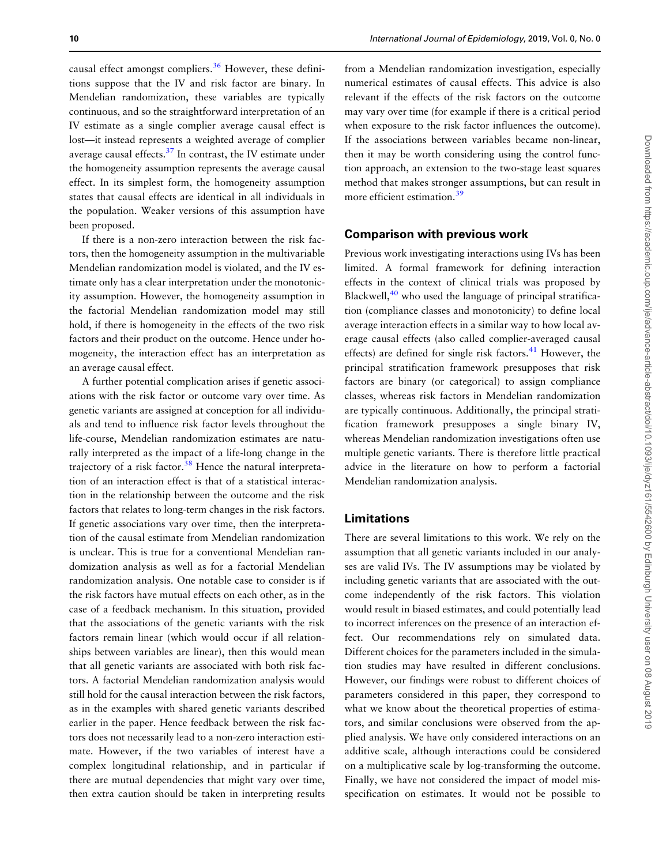<span id="page-10-0"></span>causal effect amongst compliers.<sup>[36](#page-12-0)</sup> However, these definitions suppose that the IV and risk factor are binary. In Mendelian randomization, these variables are typically continuous, and so the straightforward interpretation of an IV estimate as a single complier average causal effect is lost—it instead represents a weighted average of complier average causal effects. $37$  In contrast, the IV estimate under the homogeneity assumption represents the average causal effect. In its simplest form, the homogeneity assumption states that causal effects are identical in all individuals in the population. Weaker versions of this assumption have been proposed.

If there is a non-zero interaction between the risk factors, then the homogeneity assumption in the multivariable Mendelian randomization model is violated, and the IV estimate only has a clear interpretation under the monotonicity assumption. However, the homogeneity assumption in the factorial Mendelian randomization model may still hold, if there is homogeneity in the effects of the two risk factors and their product on the outcome. Hence under homogeneity, the interaction effect has an interpretation as an average causal effect.

A further potential complication arises if genetic associations with the risk factor or outcome vary over time. As genetic variants are assigned at conception for all individuals and tend to influence risk factor levels throughout the life-course, Mendelian randomization estimates are naturally interpreted as the impact of a life-long change in the trajectory of a risk factor.<sup>[38](#page-12-0)</sup> Hence the natural interpretation of an interaction effect is that of a statistical interaction in the relationship between the outcome and the risk factors that relates to long-term changes in the risk factors. If genetic associations vary over time, then the interpretation of the causal estimate from Mendelian randomization is unclear. This is true for a conventional Mendelian randomization analysis as well as for a factorial Mendelian randomization analysis. One notable case to consider is if the risk factors have mutual effects on each other, as in the case of a feedback mechanism. In this situation, provided that the associations of the genetic variants with the risk factors remain linear (which would occur if all relationships between variables are linear), then this would mean that all genetic variants are associated with both risk factors. A factorial Mendelian randomization analysis would still hold for the causal interaction between the risk factors, as in the examples with shared genetic variants described earlier in the paper. Hence feedback between the risk factors does not necessarily lead to a non-zero interaction estimate. However, if the two variables of interest have a complex longitudinal relationship, and in particular if there are mutual dependencies that might vary over time, then extra caution should be taken in interpreting results

from a Mendelian randomization investigation, especially numerical estimates of causal effects. This advice is also relevant if the effects of the risk factors on the outcome may vary over time (for example if there is a critical period when exposure to the risk factor influences the outcome). If the associations between variables became non-linear, then it may be worth considering using the control function approach, an extension to the two-stage least squares method that makes stronger assumptions, but can result in more efficient estimation.<sup>39</sup>

#### Comparison with previous work

Previous work investigating interactions using IVs has been limited. A formal framework for defining interaction effects in the context of clinical trials was proposed by Blackwell, $40$  who used the language of principal stratification (compliance classes and monotonicity) to define local average interaction effects in a similar way to how local average causal effects (also called complier-averaged causal effects) are defined for single risk factors. $41$  However, the principal stratification framework presupposes that risk factors are binary (or categorical) to assign compliance classes, whereas risk factors in Mendelian randomization are typically continuous. Additionally, the principal stratification framework presupposes a single binary IV, whereas Mendelian randomization investigations often use multiple genetic variants. There is therefore little practical advice in the literature on how to perform a factorial Mendelian randomization analysis.

#### Limitations

There are several limitations to this work. We rely on the assumption that all genetic variants included in our analyses are valid IVs. The IV assumptions may be violated by including genetic variants that are associated with the outcome independently of the risk factors. This violation would result in biased estimates, and could potentially lead to incorrect inferences on the presence of an interaction effect. Our recommendations rely on simulated data. Different choices for the parameters included in the simulation studies may have resulted in different conclusions. However, our findings were robust to different choices of parameters considered in this paper, they correspond to what we know about the theoretical properties of estimators, and similar conclusions were observed from the applied analysis. We have only considered interactions on an additive scale, although interactions could be considered on a multiplicative scale by log-transforming the outcome. Finally, we have not considered the impact of model misspecification on estimates. It would not be possible to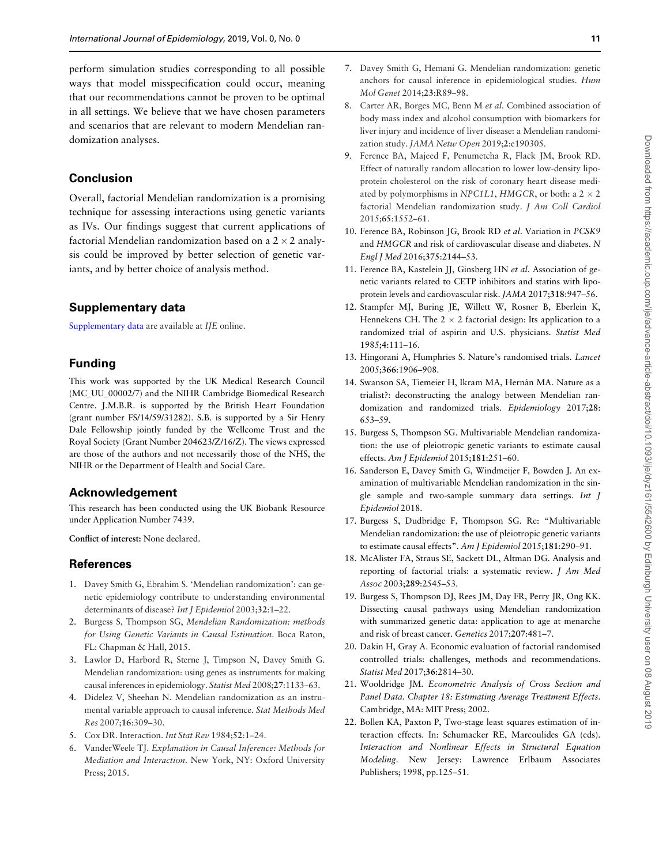<span id="page-11-0"></span>perform simulation studies corresponding to all possible ways that model misspecification could occur, meaning that our recommendations cannot be proven to be optimal in all settings. We believe that we have chosen parameters and scenarios that are relevant to modern Mendelian randomization analyses.

#### Conclusion

Overall, factorial Mendelian randomization is a promising technique for assessing interactions using genetic variants as IVs. Our findings suggest that current applications of factorial Mendelian randomization based on a 2  $\times$  2 analysis could be improved by better selection of genetic variants, and by better choice of analysis method.

#### Supplementary data

[Supplementary data](https://academic.oup.com/ije/article-lookup/doi/10.1093/ije/dyz161#supplementary-data) are available at IJE online.

#### Funding

This work was supported by the UK Medical Research Council (MC\_UU\_00002/7) and the NIHR Cambridge Biomedical Research Centre. J.M.B.R. is supported by the British Heart Foundation (grant number FS/14/59/31282). S.B. is supported by a Sir Henry Dale Fellowship jointly funded by the Wellcome Trust and the Royal Society (Grant Number 204623/Z/16/Z). The views expressed are those of the authors and not necessarily those of the NHS, the NIHR or the Department of Health and Social Care.

#### Acknowledgement

This research has been conducted using the UK Biobank Resource under Application Number 7439.

Conflict of interest: None declared.

#### **References**

- [1.](#page-2-0) Davey Smith G, Ebrahim S. 'Mendelian randomization': can genetic epidemiology contribute to understanding environmental determinants of disease? Int J Epidemiol 2003;32:1–22.
- [2.](#page-2-0) Burgess S, Thompson SG, Mendelian Randomization: methods for Using Genetic Variants in Causal Estimation. Boca Raton, FL: Chapman & Hall, 2015.
- [3.](#page-2-0) Lawlor D, Harbord R, Sterne J, Timpson N, Davey Smith G. Mendelian randomization: using genes as instruments for making causal inferences in epidemiology. Statist Med 2008;27:1133–63.
- [4.](#page-2-0) Didelez V, Sheehan N. Mendelian randomization as an instrumental variable approach to causal inference. Stat Methods Med Res 2007;16:309–30.
- [5.](#page-2-0) Cox DR. Interaction. Int Stat Rev 1984;52:1–24.
- [6.](#page-2-0) VanderWeele TJ. Explanation in Causal Inference: Methods for Mediation and Interaction. New York, NY: Oxford University Press; 2015.
- [7.](#page-2-0) Davey Smith G, Hemani G. Mendelian randomization: genetic anchors for causal inference in epidemiological studies. Hum Mol Genet 2014;23:R89–98.
- [8.](#page-2-0) Carter AR, Borges MC, Benn M et al. Combined association of body mass index and alcohol consumption with biomarkers for liver injury and incidence of liver disease: a Mendelian randomization study. JAMA Netw Open 2019;2:e190305.
- [9.](#page-2-0) Ference BA, Majeed F, Penumetcha R, Flack JM, Brook RD. Effect of naturally random allocation to lower low-density lipoprotein cholesterol on the risk of coronary heart disease mediated by polymorphisms in NPC1L1, HMGCR, or both: a  $2 \times 2$ factorial Mendelian randomization study. J Am Coll Cardiol 2015;65:1552–61.
- [10.](#page-2-0) Ference BA, Robinson JG, Brook RD et al. Variation in PCSK9 and HMGCR and risk of cardiovascular disease and diabetes. N Engl J Med 2016;375:2144–53.
- [11.](#page-2-0) Ference BA, Kastelein JJ, Ginsberg HN et al. Association of genetic variants related to CETP inhibitors and statins with lipoprotein levels and cardiovascular risk. JAMA 2017;318:947–56.
- [12.](#page-3-0) Stampfer MJ, Buring JE, Willett W, Rosner B, Eberlein K, Hennekens CH. The  $2 \times 2$  factorial design: Its application to a randomized trial of aspirin and U.S. physicians. Statist Med 1985;4:111–16.
- [13.](#page-3-0) Hingorani A, Humphries S. Nature's randomised trials. Lancet 2005;366:1906–908.
- [14.](#page-3-0) Swanson SA, Tiemeier H, Ikram MA, Hernán MA. Nature as a trialist?: deconstructing the analogy between Mendelian randomization and randomized trials. Epidemiology 2017;28: 653–59.
- [15.](#page-3-0) Burgess S, Thompson SG. Multivariable Mendelian randomization: the use of pleiotropic genetic variants to estimate causal effects. Am J Epidemiol 2015;181:251–60.
- [16.](#page-3-0) Sanderson E, Davey Smith G, Windmeijer F, Bowden J. An examination of multivariable Mendelian randomization in the single sample and two-sample summary data settings. Int J Epidemiol 2018.
- [17.](#page-3-0) Burgess S, Dudbridge F, Thompson SG. Re: "Multivariable Mendelian randomization: the use of pleiotropic genetic variants to estimate causal effects". Am J Epidemiol 2015;181:290–91.
- [18.](#page-3-0) McAlister FA, Straus SE, Sackett DL, Altman DG. Analysis and reporting of factorial trials: a systematic review. J Am Med Assoc 2003;289:2545–53.
- [19.](#page-3-0) Burgess S, Thompson DJ, Rees JM, Day FR, Perry JR, Ong KK. Dissecting causal pathways using Mendelian randomization with summarized genetic data: application to age at menarche and risk of breast cancer. Genetics 2017;207:481–7.
- [20.](#page-3-0) Dakin H, Gray A. Economic evaluation of factorial randomised controlled trials: challenges, methods and recommendations. Statist Med 2017;36:2814–30.
- [21.](#page-4-0) Wooldridge JM. Econometric Analysis of Cross Section and Panel Data. Chapter 18: Estimating Average Treatment Effects. Cambridge, MA: MIT Press; 2002.
- [22.](#page-4-0) Bollen KA, Paxton P, Two-stage least squares estimation of interaction effects. In: Schumacker RE, Marcoulides GA (eds). Interaction and Nonlinear Effects in Structural Equation Modeling. New Jersey: Lawrence Erlbaum Associates Publishers; 1998, pp.125–51.